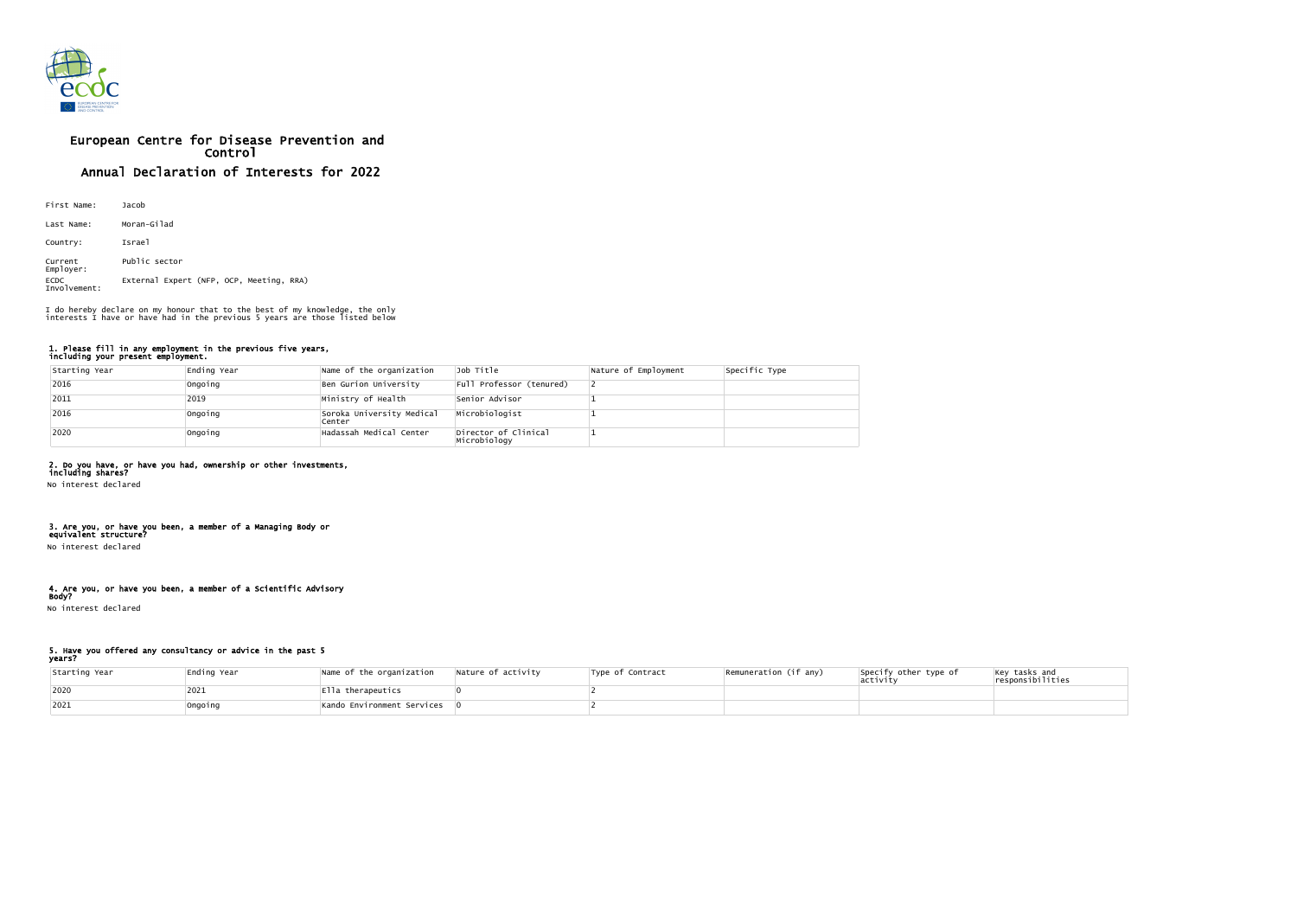

# European Centre for Disease Prevention and Control Annual Declaration of Interests for 2022

| First Name:                 | Jacob                                    |
|-----------------------------|------------------------------------------|
| Last Name:                  | Moran-Gilad                              |
| Country:                    | Israel                                   |
| Current<br>Employer:        | Public sector                            |
| <b>ECDC</b><br>Involvement: | External Expert (NFP, OCP, Meeting, RRA) |

#### 1. Please fill in any employment in the previous five years, including your present employment.

| Starting Year | Ending Year | Name of the organization            | Job Title                            | Nature of Employment | Specific Type |
|---------------|-------------|-------------------------------------|--------------------------------------|----------------------|---------------|
| 2016          | Ongoing     | Ben Gurion University               | Full Professor (tenured)             |                      |               |
| $ 2011$       | 2019        | Ministry of Health                  | Senior Advisor                       |                      |               |
| 2016          | Ongoing     | Soroka University Medical<br>Center | Microbiologist                       |                      |               |
| 2020          | Ongoing     | Hadassah Medical Center             | Director of Clinical<br>Microbiology |                      |               |

# 2. Do you have, or have you had, ownership or other investments,

including shares? No interest declared

#### 3. Are you, or have you been, a member of a Managing Body or equivalent structure?

No interest declared

#### 4. Are you, or have you been, a member of a Scientific Advisory Body?

No interest declared

# 5. Have you offered any consultancy or advice in the past 5

| Starting Year | Ending Year | Name of the organization                     | Nature of activity | Type of Contract | Remuneration (if any) | Specify other type of<br>activity | $\left  \begin{matrix} \text{Key} \text{ tasks} \text{ and} \\ \text{responsibilities} \end{matrix} \right $ |
|---------------|-------------|----------------------------------------------|--------------------|------------------|-----------------------|-----------------------------------|--------------------------------------------------------------------------------------------------------------|
| 2020          | 2021        | $ $ Ella therapeutics                        |                    |                  |                       |                                   |                                                                                                              |
| 2021          | Ongoing     | $\vert$ Kando Environment Services $\vert$ 0 |                    |                  |                       |                                   |                                                                                                              |

I do hereby declare on my honour that to the best of my knowledge, the only interests I have or have had in the previous 5 years are those listed below